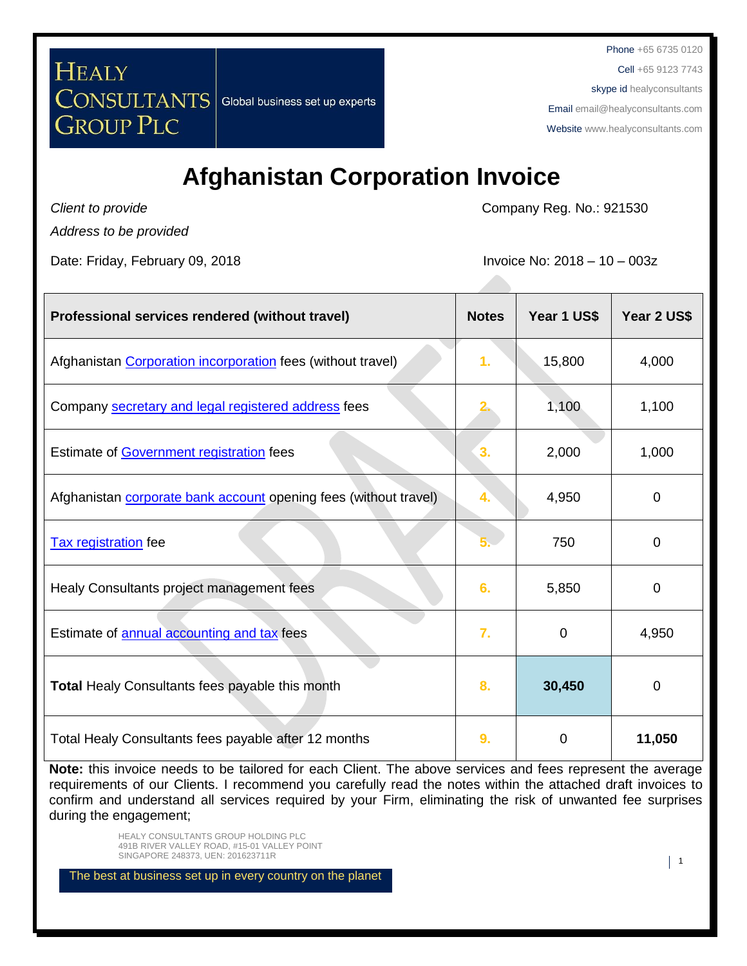Cell +65 9123 7743

skype id healyconsultants

Email [email@healyconsultants.com](mailto:EMAIL@HEALYCONSULTANTS.COM)

Websit[e www.healyconsultants.com](http://www.healyconsultants.com/)

# **Afghanistan Corporation Invoice**

*Client to provide*

**GROUP PLC** 

**HEALY** 

Company Reg. No.: 921530

*Address to be provided*

Date: Friday, February 09, 2018 **Invoice No: 2018** - 10 – 003z

**CONSULTANTS** Global business set up experts

| Professional services rendered (without travel)                         | <b>Notes</b> | Year 1 US\$ | Year 2 US\$    |
|-------------------------------------------------------------------------|--------------|-------------|----------------|
| Afghanistan Corporation incorporation fees (without travel)             | 1.           | 15,800      | 4,000          |
| Company secretary and legal registered address fees                     |              | 1,100       | 1,100          |
| Estimate of Government registration fees                                | 3.           | 2,000       | 1,000          |
| Afghanistan <b>corporate bank account</b> opening fees (without travel) | 4.           | 4,950       | $\Omega$       |
| <b>Tax registration</b> fee                                             |              | 750         | $\overline{0}$ |
| Healy Consultants project management fees                               | 6.           | 5,850       | 0              |
| Estimate of annual accounting and tax fees                              | 7.           | $\Omega$    | 4,950          |
| <b>Total Healy Consultants fees payable this month</b>                  | 8.           | 30,450      | 0              |
| Total Healy Consultants fees payable after 12 months                    | 9.           | 0           | 11,050         |

**Note:** this invoice needs to be tailored for each Client. The above services and fees represent the average requirements of our Clients. I recommend you carefully read the notes within the attached draft invoices to confirm and understand all services required by your Firm, eliminating the risk of unwanted fee surprises during the engagement;

> HEALY CONSULTANTS GROUP HOLDING PLC 491B RIVER VALLEY ROAD, #15-01 VALLEY POINT SINGAPORE 248373, UEN: 201623711R 1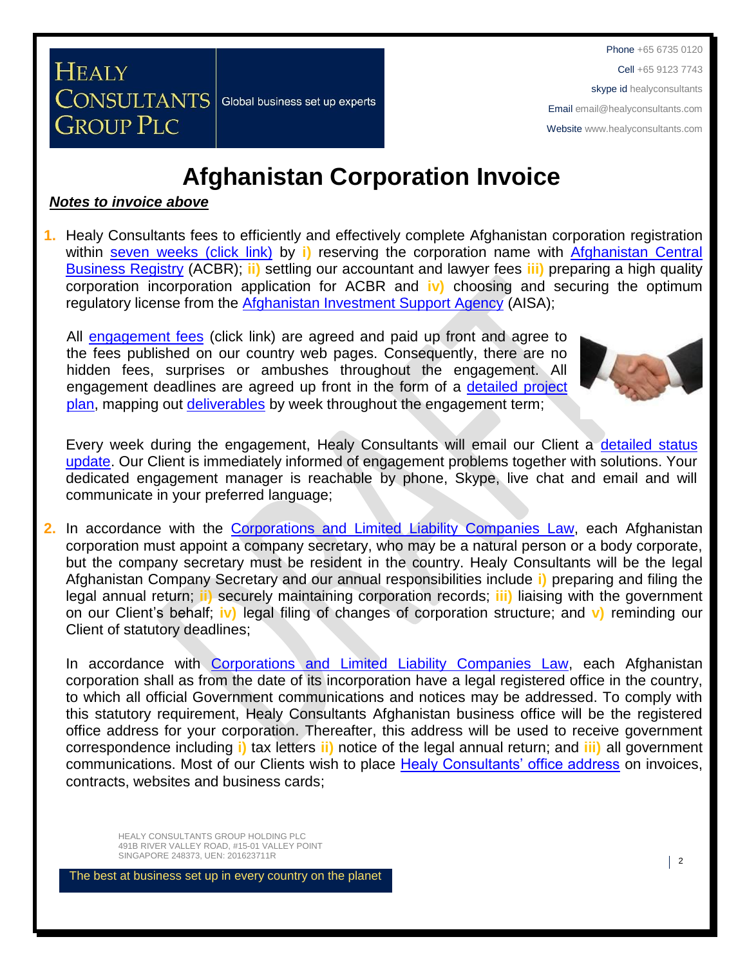Cell +65 9123 7743

#### skype id healyconsultants

Email [email@healyconsultants.com](mailto:EMAIL@HEALYCONSULTANTS.COM)

Websit[e www.healyconsultants.com](http://www.healyconsultants.com/)

# **Afghanistan Corporation Invoice**

#### *Notes to invoice above*

**GROUP PLC** 

CONSULTANTS Global business set up experts

**HEALY** 

**1.** Healy Consultants fees to efficiently and effectively complete Afghanistan corporation registration within [seven weeks \(click link\)](http://www.healyconsultants.com/afghanistan-company-registration/fees-timelines/#timelines) by **i)** reserving the corporation name with [Afghanistan Central](http://www.acbr.gov.af/)  [Business Registry](http://www.acbr.gov.af/) (ACBR); **ii)** settling our accountant and lawyer fees **iii)** preparing a high quality corporation incorporation application for ACBR and **iv)** choosing and securing the optimum regulatory license from the [Afghanistan Investment Support Agency](http://www.aisa.org.af/en) (AISA);

All [engagement fees](http://www.healyconsultants.com/company-registration-fees/) (click link) are agreed and paid up front and agree to the fees published on our country web pages. Consequently, there are no hidden fees, surprises or ambushes throughout the engagement. All engagement deadlines are agreed up front in the form of a [detailed project](http://www.healyconsultants.com/index-important-links/example-project-plan/)  [plan,](http://www.healyconsultants.com/index-important-links/example-project-plan/) mapping out [deliverables](http://www.healyconsultants.com/deliverables-to-our-clients/) by week throughout the engagement term;



Every week during the engagement, Healy Consultants will email our Client a detailed status [update.](http://www.healyconsultants.com/index-important-links/weekly-engagement-status-email/) Our Client is immediately informed of engagement problems together with solutions. Your dedicated engagement manager is reachable by phone, Skype, live chat and email and will communicate in your preferred language;

**2.** In accordance with the [Corporations and Limited Liability Companies Law,](http://www.acbr.gov.af/laws.html) each Afghanistan corporation must appoint a company secretary, who may be a natural person or a body corporate, but the company secretary must be resident in the country. Healy Consultants will be the legal Afghanistan Company Secretary and our annual responsibilities include **i)** preparing and filing the legal annual return; **ii)** securely maintaining corporation records; **iii)** liaising with the government on our Client's behalf; **iv)** legal filing of changes of corporation structure; and **v)** reminding our Client of statutory deadlines;

In accordance with [Corporations and Limited Liability Companies Law,](http://www.acbr.gov.af/laws.html) each Afghanistan corporation shall as from the date of its incorporation have a legal registered office in the country, to which all official Government communications and notices may be addressed. To comply with this statutory requirement, Healy Consultants Afghanistan business office will be the registered office address for your corporation. Thereafter, this address will be used to receive government correspondence including **i)** tax letters **ii)** notice of the legal annual return; and **iii)** all government communications. Most of our Clients wish to place [Healy Consultants' office address](http://www.healyconsultants.com/corporate-outsourcing-services/company-secretary-and-legal-registered-office/) on invoices, contracts, websites and business cards;

HEALY CONSULTANTS GROUP HOLDING PLC 491B RIVER VALLEY ROAD, #15-01 VALLEY POINT SINGAPORE 248373, UEN: 201623711R 2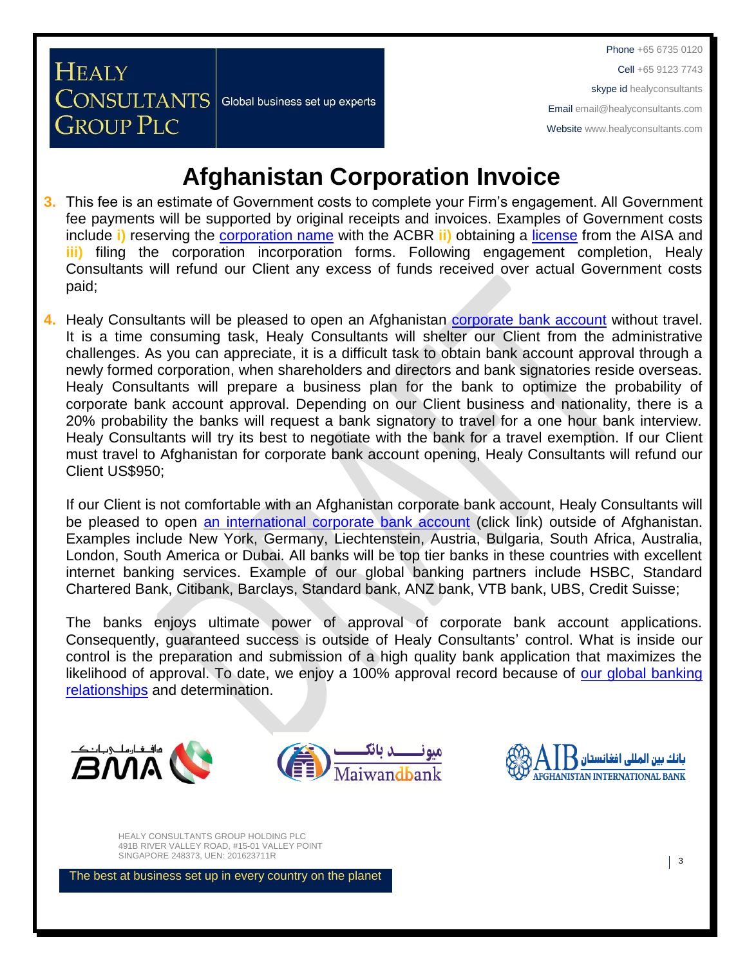Cell +65 9123 7743

skype id healyconsultants

Email [email@healyconsultants.com](mailto:EMAIL@HEALYCONSULTANTS.COM)

Websit[e www.healyconsultants.com](http://www.healyconsultants.com/)

# **Afghanistan Corporation Invoice**

- **3.** This fee is an estimate of Government costs to complete your Firm's engagement. All Government fee payments will be supported by original receipts and invoices. Examples of Government costs include **i)** reserving the [corporation](http://www.acbr.gov.af/application.html) name with the ACBR **ii)** obtaining a [license](http://www.aisa.org.af/en/page/services/company-startup-procedure) from the AISA and **iii)** filing the corporation incorporation forms. Following engagement completion, Healy Consultants will refund our Client any excess of funds received over actual Government costs paid;
- 4. Healy Consultants will be pleased to open an Afghanistan [corporate bank account](http://www.healyconsultants.com/afghanistan-company-registration/formation-support-services/#banking) without travel. It is a time consuming task, Healy Consultants will shelter our Client from the administrative challenges. As you can appreciate, it is a difficult task to obtain bank account approval through a newly formed corporation, when shareholders and directors and bank signatories reside overseas. Healy Consultants will prepare a business plan for the bank to optimize the probability of corporate bank account approval. Depending on our Client business and nationality, there is a 20% probability the banks will request a bank signatory to travel for a one hour bank interview. Healy Consultants will try its best to negotiate with the bank for a travel exemption. If our Client must travel to Afghanistan for corporate bank account opening, Healy Consultants will refund our Client US\$950;

If our Client is not comfortable with an Afghanistan corporate bank account, Healy Consultants will be pleased to open [an international corporate bank account](http://www.healyconsultants.com/international-banking/) (click link) outside of Afghanistan. Examples include New York, Germany, Liechtenstein, Austria, Bulgaria, South Africa, Australia, London, South America or Dubai. All banks will be top tier banks in these countries with excellent internet banking services. Example of our global banking partners include HSBC, Standard Chartered Bank, Citibank, Barclays, Standard bank, ANZ bank, VTB bank, UBS, Credit Suisse;

The banks enjoys ultimate power of approval of corporate bank account applications. Consequently, guaranteed success is outside of Healy Consultants' control. What is inside our control is the preparation and submission of a high quality bank application that maximizes the likelihood of approval. To date, we enjoy a 100% approval record because of our global banking [relationships](http://www.healyconsultants.com/international-banking/corporate-accounts/) and determination.



**HEALY** 

**GROUP PLC** 

**CONSULTANTS** Global business set up experts





HEALY CONSULTANTS GROUP HOLDING PLC 491B RIVER VALLEY ROAD, #15-01 VALLEY POINT SINGAPORE 248373, UEN: 201623711R 3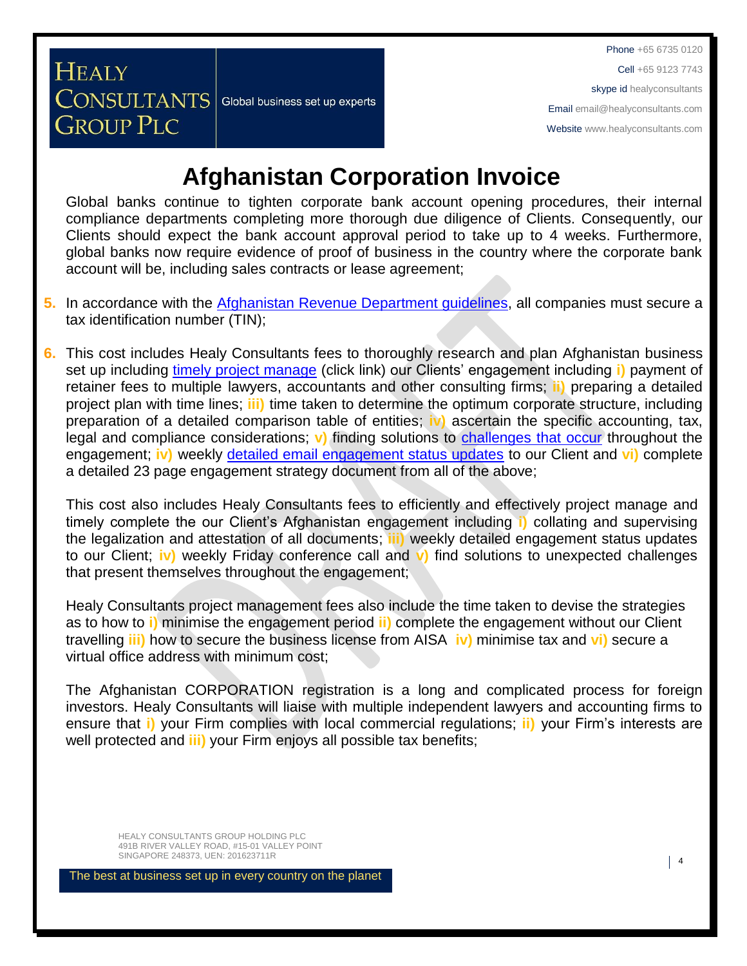Cell +65 9123 7743

skype id healyconsultants

Email [email@healyconsultants.com](mailto:EMAIL@HEALYCONSULTANTS.COM)

Websit[e www.healyconsultants.com](http://www.healyconsultants.com/)

# **Afghanistan Corporation Invoice**

Global banks continue to tighten corporate bank account opening procedures, their internal compliance departments completing more thorough due diligence of Clients. Consequently, our Clients should expect the bank account approval period to take up to 4 weeks. Furthermore, global banks now require evidence of proof of business in the country where the corporate bank account will be, including sales contracts or lease agreement;

- **5.** In accordance with the [Afghanistan Revenue Department guidelines,](http://www.trade.gov/static/AF_Tax_Guide18.pdf) all companies must secure a tax identification number (TIN);
- **6.** This cost includes Healy Consultants fees to thoroughly research and plan Afghanistan business set up including [timely project manage](http://www.healyconsultants.com/project-manage-engagements/) (click link) our Clients' engagement including **i)** payment of retainer fees to multiple lawyers, accountants and other consulting firms; **ii)** preparing a detailed project plan with time lines; **iii)** time taken to determine the optimum corporate structure, including preparation of a detailed comparison table of entities; **iv)** ascertain the specific accounting, tax, legal and compliance considerations; **v)** finding solutions to [challenges that occur](http://www.healyconsultants.com/engagement-project-management/) throughout the engagement; **iv)** weekly [detailed email engagement status updates](http://www.healyconsultants.com/index-important-links/weekly-engagement-status-email/) to our Client and **vi)** complete a detailed 23 page engagement strategy document from all of the above;

This cost also includes Healy Consultants fees to efficiently and effectively project manage and timely complete the our Client's Afghanistan engagement including **i)** collating and supervising the legalization and attestation of all documents; **iii)** weekly detailed engagement status updates to our Client; **iv)** weekly Friday conference call and **v)** find solutions to unexpected challenges that present themselves throughout the engagement;

Healy Consultants project management fees also include the time taken to devise the strategies as to how to **i)** minimise the engagement period **ii)** complete the engagement without our Client travelling **iii)** how to secure the business license from AISA **iv)** minimise tax and **vi)** secure a virtual office address with minimum cost;

The Afghanistan CORPORATION registration is a long and complicated process for foreign investors. Healy Consultants will liaise with multiple independent lawyers and accounting firms to ensure that **i)** your Firm complies with local commercial regulations; **ii)** your Firm's interests are well protected and **iii)** your Firm enjoys all possible tax benefits;

HEALY CONSULTANTS GROUP HOLDING PLC 491B RIVER VALLEY ROAD, #15-01 VALLEY POINT SINGAPORE 248373, UEN: 201623711R 4

**HEALY** 

**GROUP PLC** 

CONSULTANTS Global business set up experts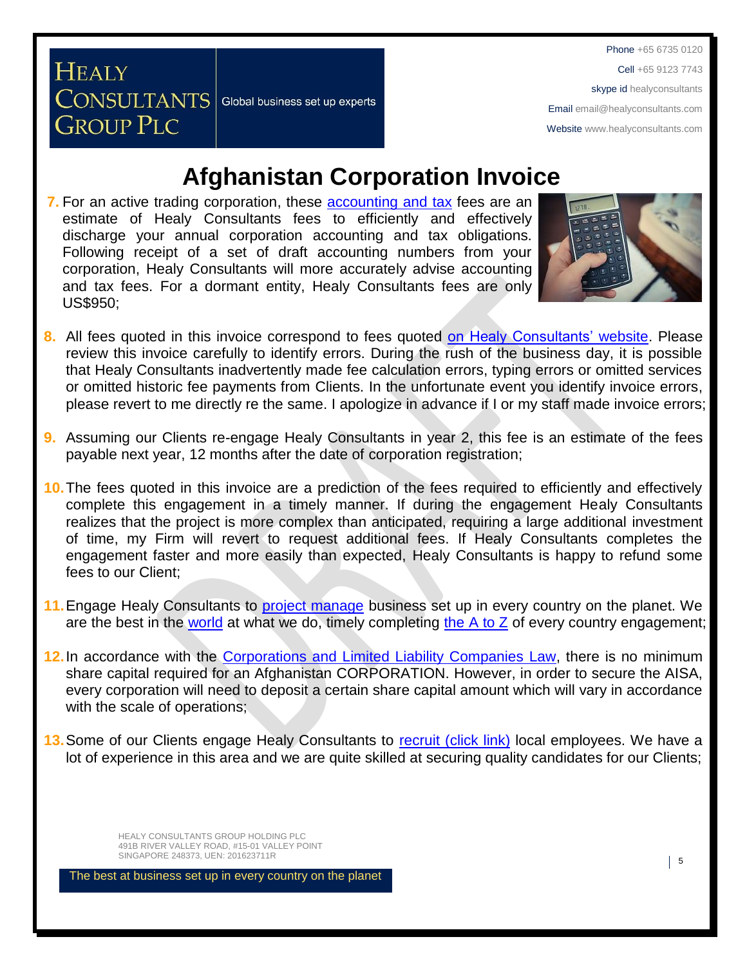Phone +65 6735 0120 Cell +65 9123 7743 skype id healyconsultants Email [email@healyconsultants.com](mailto:EMAIL@HEALYCONSULTANTS.COM)

Websit[e www.healyconsultants.com](http://www.healyconsultants.com/)

## **Afghanistan Corporation Invoice**

**7.** For an active trading [corporation,](http://www.acbr.gov.af/application.html) these [accounting and tax](http://www.healyconsultants.com/afghanistan-company-registration/accounting-legal/) fees are an estimate of Healy Consultants fees to efficiently and effectively discharge your annual corporation accounting and tax obligations. Following receipt of a set of draft accounting numbers from your corporation, Healy Consultants will more accurately advise accounting and tax fees. For a dormant entity, Healy Consultants fees are only US\$950;

CONSULTANTS Global business set up experts

**HEALY** 

**GROUP PLC** 



- **8.** All fees quoted in this invoice correspond to fees quoted [on Healy Consultants' website.](http://www.healyconsultants.com/company-registration-fees/) Please review this invoice carefully to identify errors. During the rush of the business day, it is possible that Healy Consultants inadvertently made fee calculation errors, typing errors or omitted services or omitted historic fee payments from Clients. In the unfortunate event you identify invoice errors, please revert to me directly re the same. I apologize in advance if I or my staff made invoice errors;
- **9.** Assuming our Clients re-engage Healy Consultants in year 2, this fee is an estimate of the fees payable next year, 12 months after the date of corporation registration;
- **10.**The fees quoted in this invoice are a prediction of the fees required to efficiently and effectively complete this engagement in a timely manner. If during the engagement Healy Consultants realizes that the project is more complex than anticipated, requiring a large additional investment of time, my Firm will revert to request additional fees. If Healy Consultants completes the engagement faster and more easily than expected, Healy Consultants is happy to refund some fees to our Client;
- **11.**Engage Healy Consultants to [project manage](http://www.healyconsultants.com/project-manage-engagements/) business set up in every country on the planet. We are the best in the [world](http://www.healyconsultants.com/best-in-the-world/) at what we do, timely completing the  $A$  to  $Z$  of every country engagement;
- 12. In accordance with the [Corporations and Limited Liability Companies Law,](http://www.acbr.gov.af/laws.html) there is no minimum share capital required for an Afghanistan CORPORATION. However, in order to secure the AISA, every corporation will need to deposit a certain share capital amount which will vary in accordance with the scale of operations;
- **13.**Some of our Clients engage Healy Consultants to [recruit \(click link\)](http://www.healyconsultants.com/corporate-outsourcing-services/how-we-help-our-clients-recruit-quality-employees/) local employees. We have a lot of experience in this area and we are quite skilled at securing quality candidates for our Clients;

HEALY CONSULTANTS GROUP HOLDING PLC 491B RIVER VALLEY ROAD, #15-01 VALLEY POINT SINGAPORE 248373, UEN: 201623711R 5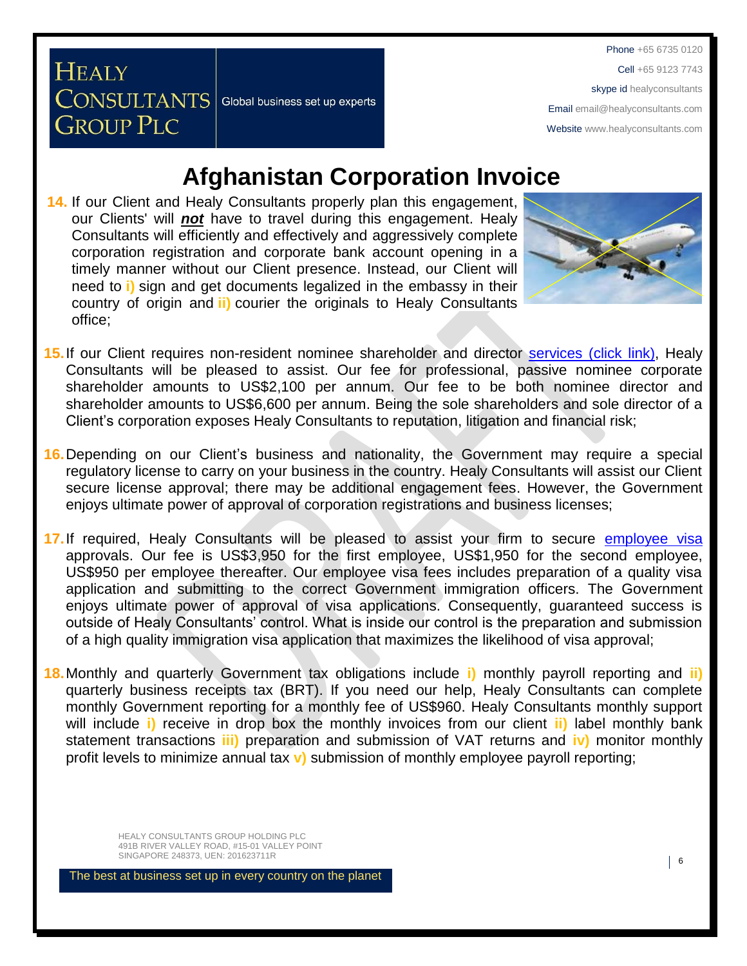Phone +65 6735 0120 Cell +65 9123 7743 skype id healyconsultants Email [email@healyconsultants.com](mailto:EMAIL@HEALYCONSULTANTS.COM) Websit[e www.healyconsultants.com](http://www.healyconsultants.com/)

## **Afghanistan Corporation Invoice**

**14.** If our Client and Healy Consultants properly plan this engagement, our Clients' will *not* have to travel during this engagement. Healy Consultants will efficiently and effectively and aggressively complete corporation registration and corporate bank account opening in a timely manner without our Client presence. Instead, our Client will need to **i)** sign and get documents legalized in the embassy in their country of origin and **ii)** courier the originals to Healy Consultants office;

**CONSULTANTS** Global business set up experts

**HEALY** 

**GROUP PLC** 



- 15. If our Client requires non-resident nominee shareholder and director services [\(click link\),](http://www.healyconsultants.com/corporate-outsourcing-services/nominee-shareholders-directors/) Healy Consultants will be pleased to assist. Our fee for professional, passive nominee corporate shareholder amounts to US\$2,100 per annum. Our fee to be both nominee director and shareholder amounts to US\$6,600 per annum. Being the sole shareholders and sole director of a Client's corporation exposes Healy Consultants to reputation, litigation and financial risk;
- **16.**Depending on our Client's business and nationality, the Government may require a special regulatory license to carry on your business in the country. Healy Consultants will assist our Client secure license approval; there may be additional engagement fees. However, the Government enjoys ultimate power of approval of corporation registrations and business licenses;
- **17.**If required, Healy Consultants will be pleased to assist your firm to secure [employee](http://www.healyconsultants.com/afghanistan-company-registration/formation-support-services/) visa approvals. Our fee is US\$3,950 for the first employee, US\$1,950 for the second employee, US\$950 per employee thereafter. Our employee visa fees includes preparation of a quality visa application and submitting to the correct Government immigration officers. The Government enjoys ultimate power of approval of visa applications. Consequently, guaranteed success is outside of Healy Consultants' control. What is inside our control is the preparation and submission of a high quality immigration visa application that maximizes the likelihood of visa approval;
- **18.**Monthly and quarterly Government tax obligations include **i)** monthly payroll reporting and **ii)** quarterly business receipts tax (BRT). If you need our help, Healy Consultants can complete monthly Government reporting for a monthly fee of US\$960. Healy Consultants monthly support will include **i)** receive in drop box the monthly invoices from our client **ii)** label monthly bank statement transactions **iii)** preparation and submission of VAT returns and **iv)** monitor monthly profit levels to minimize annual tax **v)** submission of monthly employee payroll reporting;

HEALY CONSULTANTS GROUP HOLDING PLC 491B RIVER VALLEY ROAD, #15-01 VALLEY POINT SINGAPORE 248373, UEN: 201623711R 6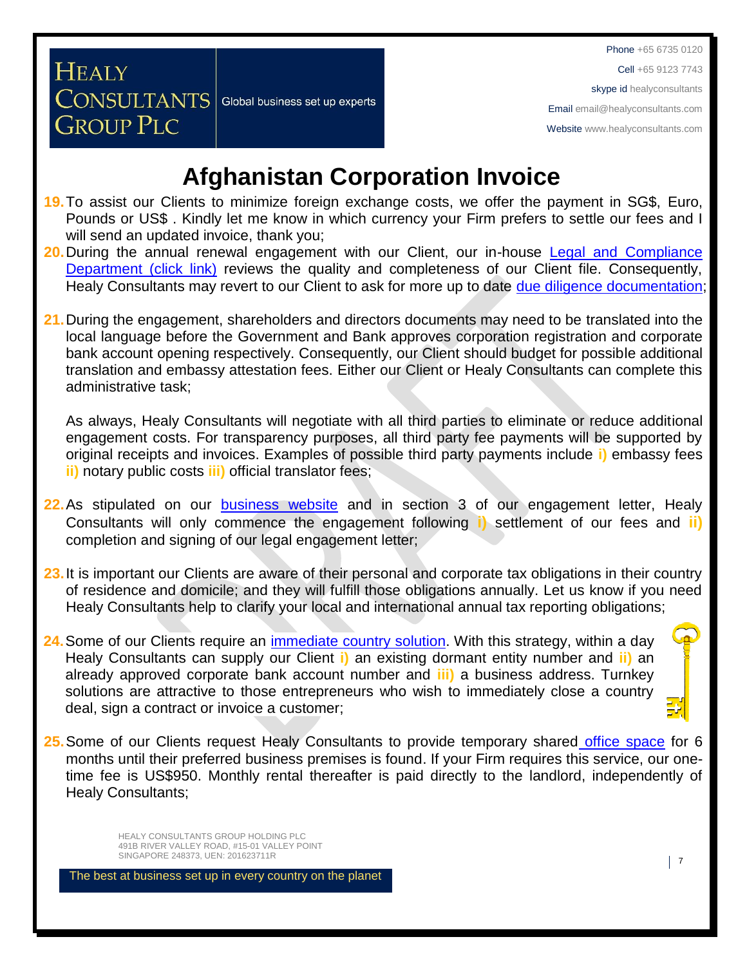Cell +65 9123 7743

#### skype id healyconsultants

Email [email@healyconsultants.com](mailto:EMAIL@HEALYCONSULTANTS.COM)

Websit[e www.healyconsultants.com](http://www.healyconsultants.com/)

# **Afghanistan Corporation Invoice**

- **19.**To assist our Clients to minimize foreign exchange costs, we offer the payment in SG\$, Euro, Pounds or US\$ . Kindly let me know in which currency your Firm prefers to settle our fees and I will send an updated invoice, thank you;
- **20.**During the annual renewal engagement with our Client, our in-house [Legal and Compliance](http://www.healyconsultants.com/about-us/key-personnel/cai-xin-profile/)  [Department \(click link\)](http://www.healyconsultants.com/about-us/key-personnel/cai-xin-profile/) reviews the quality and completeness of our Client file. Consequently, Healy Consultants may revert to our Client to ask for more up to date [due diligence documentation;](http://www.healyconsultants.com/due-diligence/)
- **21.**During the engagement, shareholders and directors documents may need to be translated into the local language before the Government and Bank approves corporation registration and corporate bank account opening respectively. Consequently, our Client should budget for possible additional translation and embassy attestation fees. Either our Client or Healy Consultants can complete this administrative task;

As always, Healy Consultants will negotiate with all third parties to eliminate or reduce additional engagement costs. For transparency purposes, all third party fee payments will be supported by original receipts and invoices. Examples of possible third party payments include **i)** embassy fees **ii)** notary public costs **iii)** official translator fees;

- **22.**As stipulated on our **[business website](http://www.healyconsultants.com/)** and in section 3 of our engagement letter, Healy Consultants will only commence the engagement following **i)** settlement of our fees and **ii)** completion and signing of our legal engagement letter;
- **23.**It is important our Clients are aware of their personal and corporate tax obligations in their country of residence and domicile; and they will fulfill those obligations annually. Let us know if you need Healy Consultants help to clarify your local and international annual tax reporting obligations;
- **24.** Some of our Clients require an *immediate country solution*. With this strategy, within a day Healy Consultants can supply our Client **i)** an existing dormant entity number and **ii)** an already approved corporate bank account number and **iii)** a business address. Turnkey solutions are attractive to those entrepreneurs who wish to immediately close a country deal, sign a contract or invoice a customer;
- **25.**Some of our Clients request Healy Consultants to provide temporary shared [office space](http://www.healyconsultants.com/virtual-office/) for 6 months until their preferred business premises is found. If your Firm requires this service, our onetime fee is US\$950. Monthly rental thereafter is paid directly to the landlord, independently of Healy Consultants;

HEALY CONSULTANTS GROUP HOLDING PLC 491B RIVER VALLEY ROAD, #15-01 VALLEY POINT SINGAPORE 248373, UEN: 201623711R 7

**HEALY** 

**GROUP PLC** 

CONSULTANTS Global business set up experts